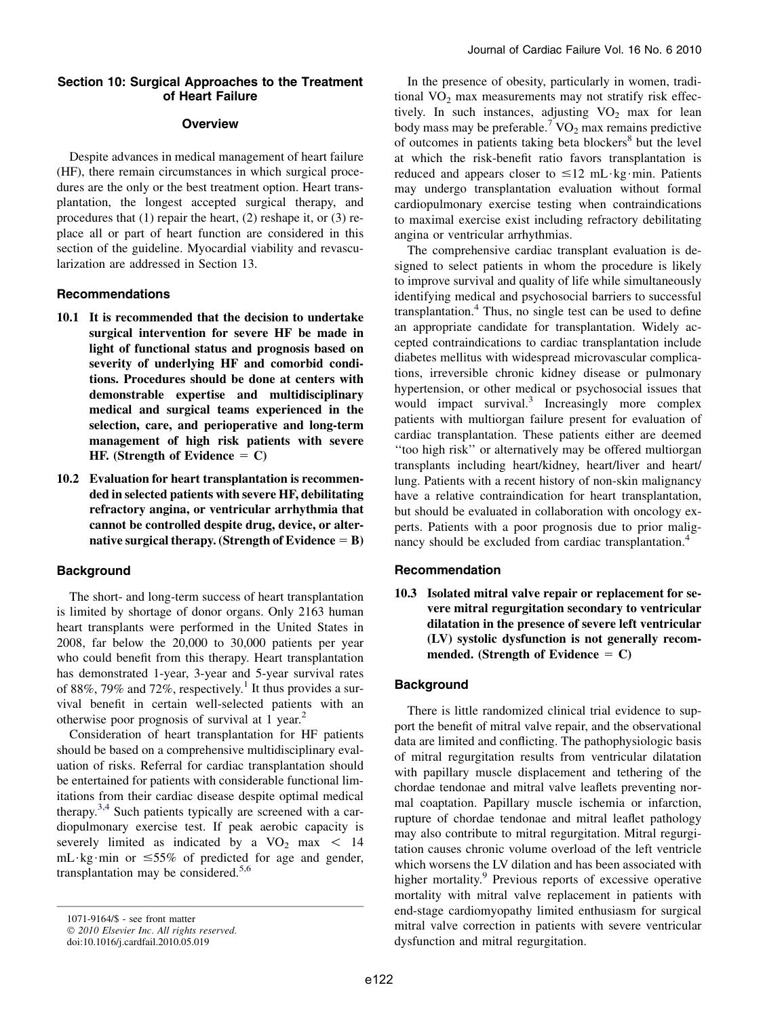### Section 10: Surgical Approaches to the Treatment of Heart Failure

### **Overview**

Despite advances in medical management of heart failure (HF), there remain circumstances in which surgical procedures are the only or the best treatment option. Heart transplantation, the longest accepted surgical therapy, and procedures that (1) repair the heart, (2) reshape it, or (3) replace all or part of heart function are considered in this section of the guideline. Myocardial viability and revascularization are addressed in Section 13.

#### Recommendations

- 10.1 It is recommended that the decision to undertake surgical intervention for severe HF be made in light of functional status and prognosis based on severity of underlying HF and comorbid conditions. Procedures should be done at centers with demonstrable expertise and multidisciplinary medical and surgical teams experienced in the selection, care, and perioperative and long-term management of high risk patients with severe HF. (Strength of Evidence  $= C$ )
- 10.2 Evaluation for heart transplantation is recommended in selected patients with severe HF, debilitating refractory angina, or ventricular arrhythmia that cannot be controlled despite drug, device, or alternative surgical therapy. (Strength of Evidence  $=$  B)

### **Background**

The short- and long-term success of heart transplantation is limited by shortage of donor organs. Only 2163 human heart transplants were performed in the United States in 2008, far below the 20,000 to 30,000 patients per year who could benefit from this therapy. Heart transplantation has demonstrated 1-year, 3-year and 5-year survival rates of 88%, 79% and 72%, respectively.<sup>[1](#page-2-0)</sup> It thus provides a survival benefit in certain well-selected patients with an otherwise poor prognosis of survival at 1 year.<sup>[2](#page-2-0)</sup>

Consideration of heart transplantation for HF patients should be based on a comprehensive multidisciplinary evaluation of risks. Referral for cardiac transplantation should be entertained for patients with considerable functional limitations from their cardiac disease despite optimal medical therapy. $3,4$  Such patients typically are screened with a cardiopulmonary exercise test. If peak aerobic capacity is severely limited as indicated by a  $VO<sub>2</sub>$  max < 14 mL $\cdot$ kg $\cdot$ min or  $\leq 55\%$  of predicted for age and gender, transplantation may be considered.<sup>[5,6](#page-2-0)</sup>

In the presence of obesity, particularly in women, traditional  $VO<sub>2</sub>$  max measurements may not stratify risk effectively. In such instances, adjusting  $VO<sub>2</sub>$  max for lean body mass may be preferable.<sup>[7](#page-3-0)</sup> VO<sub>2</sub> max remains predictive of outcomes in patients taking beta blockers<sup>[8](#page-3-0)</sup> but the level at which the risk-benefit ratio favors transplantation is reduced and appears closer to  $\leq 12$  mL $\cdot$ kg $\cdot$ min. Patients may undergo transplantation evaluation without formal cardiopulmonary exercise testing when contraindications to maximal exercise exist including refractory debilitating angina or ventricular arrhythmias.

The comprehensive cardiac transplant evaluation is designed to select patients in whom the procedure is likely to improve survival and quality of life while simultaneously identifying medical and psychosocial barriers to successful transplantation.<sup>[4](#page-2-0)</sup> Thus, no single test can be used to define an appropriate candidate for transplantation. Widely accepted contraindications to cardiac transplantation include diabetes mellitus with widespread microvascular complications, irreversible chronic kidney disease or pulmonary hypertension, or other medical or psychosocial issues that would impact survival.<sup>[3](#page-2-0)</sup> Increasingly more complex patients with multiorgan failure present for evaluation of cardiac transplantation. These patients either are deemed ''too high risk'' or alternatively may be offered multiorgan transplants including heart/kidney, heart/liver and heart/ lung. Patients with a recent history of non-skin malignancy have a relative contraindication for heart transplantation, but should be evaluated in collaboration with oncology experts. Patients with a poor prognosis due to prior malig-nancy should be excluded from cardiac transplantation.<sup>[4](#page-2-0)</sup>

### Recommendation

10.3 Isolated mitral valve repair or replacement for severe mitral regurgitation secondary to ventricular dilatation in the presence of severe left ventricular (LV) systolic dysfunction is not generally recommended. (Strength of Evidence  $= C$ )

# **Background**

There is little randomized clinical trial evidence to support the benefit of mitral valve repair, and the observational data are limited and conflicting. The pathophysiologic basis of mitral regurgitation results from ventricular dilatation with papillary muscle displacement and tethering of the chordae tendonae and mitral valve leaflets preventing normal coaptation. Papillary muscle ischemia or infarction, rupture of chordae tendonae and mitral leaflet pathology may also contribute to mitral regurgitation. Mitral regurgitation causes chronic volume overload of the left ventricle which worsens the LV dilation and has been associated with higher mortality.<sup>[9](#page-3-0)</sup> Previous reports of excessive operative mortality with mitral valve replacement in patients with end-stage cardiomyopathy limited enthusiasm for surgical mitral valve correction in patients with severe ventricular dysfunction and mitral regurgitation.

<sup>1071-9164/\$ -</sup> see front matter

<sup>© 2010</sup> Elsevier Inc. All rights reserved.

doi:10.1016/j.cardfail.2010.05.019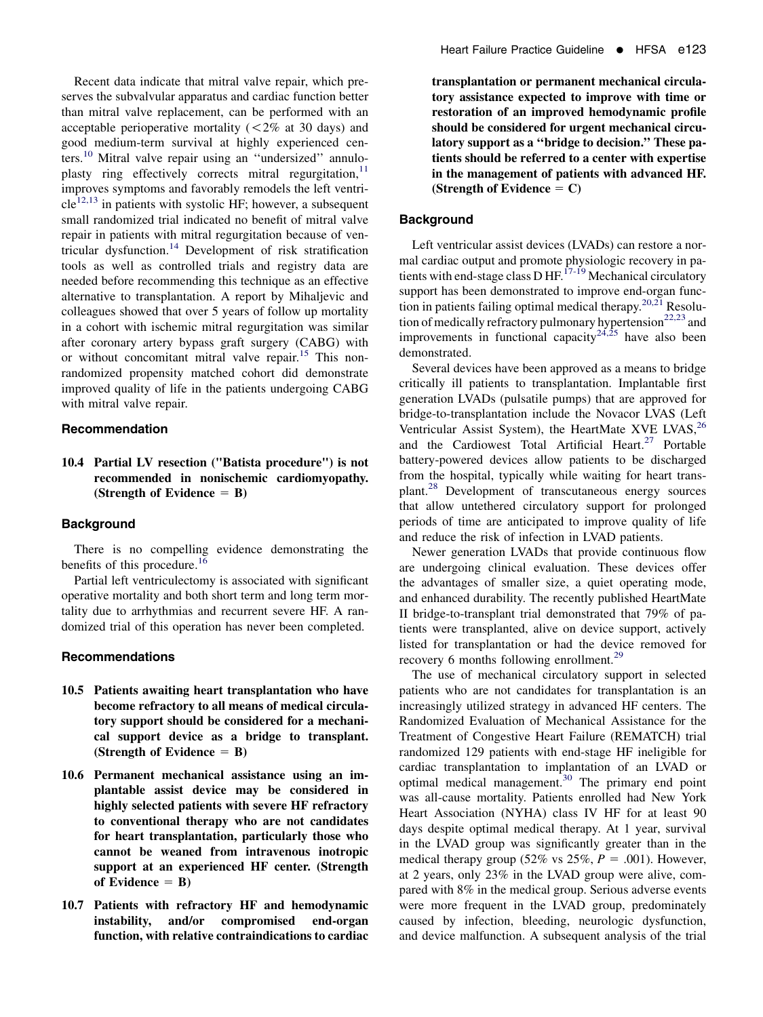Recent data indicate that mitral valve repair, which preserves the subvalvular apparatus and cardiac function better than mitral valve replacement, can be performed with an acceptable perioperative mortality  $(< 2\%$  at 30 days) and good medium-term survival at highly experienced cen-ters.<sup>[10](#page-3-0)</sup> Mitral valve repair using an "undersized" annuloplasty ring effectively corrects mitral regurgitation, $<sup>11</sup>$  $<sup>11</sup>$  $<sup>11</sup>$ </sup> improves symptoms and favorably remodels the left ventri- $cle^{12,13}$  $cle^{12,13}$  $cle^{12,13}$  in patients with systolic HF; however, a subsequent small randomized trial indicated no benefit of mitral valve repair in patients with mitral regurgitation because of ventricular dysfunction.[14](#page-3-0) Development of risk stratification tools as well as controlled trials and registry data are needed before recommending this technique as an effective alternative to transplantation. A report by Mihaljevic and colleagues showed that over 5 years of follow up mortality in a cohort with ischemic mitral regurgitation was similar after coronary artery bypass graft surgery (CABG) with or without concomitant mitral valve repair.<sup>[15](#page-3-0)</sup> This nonrandomized propensity matched cohort did demonstrate improved quality of life in the patients undergoing CABG with mitral valve repair.

### Recommendation

# 10.4 Partial LV resection ("Batista procedure") is not recommended in nonischemic cardiomyopathy. (Strength of Evidence  $=$  B)

### **Background**

There is no compelling evidence demonstrating the benefits of this procedure.<sup>[16](#page-3-0)</sup>

Partial left ventriculectomy is associated with significant operative mortality and both short term and long term mortality due to arrhythmias and recurrent severe HF. A randomized trial of this operation has never been completed.

### Recommendations

- 10.5 Patients awaiting heart transplantation who have become refractory to all means of medical circulatory support should be considered for a mechanical support device as a bridge to transplant. (Strength of Evidence  $=$  B)
- 10.6 Permanent mechanical assistance using an implantable assist device may be considered in highly selected patients with severe HF refractory to conventional therapy who are not candidates for heart transplantation, particularly those who cannot be weaned from intravenous inotropic support at an experienced HF center. (Strength of Evidence  $=$  B)
- 10.7 Patients with refractory HF and hemodynamic instability, and/or compromised end-organ function, with relative contraindications to cardiac

transplantation or permanent mechanical circulatory assistance expected to improve with time or restoration of an improved hemodynamic profile should be considered for urgent mechanical circulatory support as a ''bridge to decision.'' These patients should be referred to a center with expertise in the management of patients with advanced HF. (Strength of Evidence  $= C$ )

### **Background**

Left ventricular assist devices (LVADs) can restore a normal cardiac output and promote physiologic recovery in pa-tients with end-stage class D HF.<sup>[17-19](#page-3-0)</sup> Mechanical circulatory support has been demonstrated to improve end-organ func-tion in patients failing optimal medical therapy.<sup>[20,21](#page-3-0)</sup> Resolu-tion of medically refractory pulmonary hypertension<sup>[22,23](#page-3-0)</sup> and improvements in functional capacity<sup>[24,25](#page-3-0)</sup> have also been demonstrated.

Several devices have been approved as a means to bridge critically ill patients to transplantation. Implantable first generation LVADs (pulsatile pumps) that are approved for bridge-to-transplantation include the Novacor LVAS (Left Ventricular Assist System), the HeartMate XVE LVAS,  $^{26}$  $^{26}$  $^{26}$ and the Cardiowest Total Artificial Heart.<sup>[27](#page-3-0)</sup> Portable battery-powered devices allow patients to be discharged from the hospital, typically while waiting for heart transplant.[28](#page-3-0) Development of transcutaneous energy sources that allow untethered circulatory support for prolonged periods of time are anticipated to improve quality of life and reduce the risk of infection in LVAD patients.

Newer generation LVADs that provide continuous flow are undergoing clinical evaluation. These devices offer the advantages of smaller size, a quiet operating mode, and enhanced durability. The recently published HeartMate II bridge-to-transplant trial demonstrated that 79% of patients were transplanted, alive on device support, actively listed for transplantation or had the device removed for recovery 6 months following enrollment.<sup>[29](#page-3-0)</sup>

The use of mechanical circulatory support in selected patients who are not candidates for transplantation is an increasingly utilized strategy in advanced HF centers. The Randomized Evaluation of Mechanical Assistance for the Treatment of Congestive Heart Failure (REMATCH) trial randomized 129 patients with end-stage HF ineligible for cardiac transplantation to implantation of an LVAD or optimal medical management. $30$  The primary end point was all-cause mortality. Patients enrolled had New York Heart Association (NYHA) class IV HF for at least 90 days despite optimal medical therapy. At 1 year, survival in the LVAD group was significantly greater than in the medical therapy group (52% vs 25%,  $P = .001$ ). However, at 2 years, only 23% in the LVAD group were alive, compared with 8% in the medical group. Serious adverse events were more frequent in the LVAD group, predominately caused by infection, bleeding, neurologic dysfunction, and device malfunction. A subsequent analysis of the trial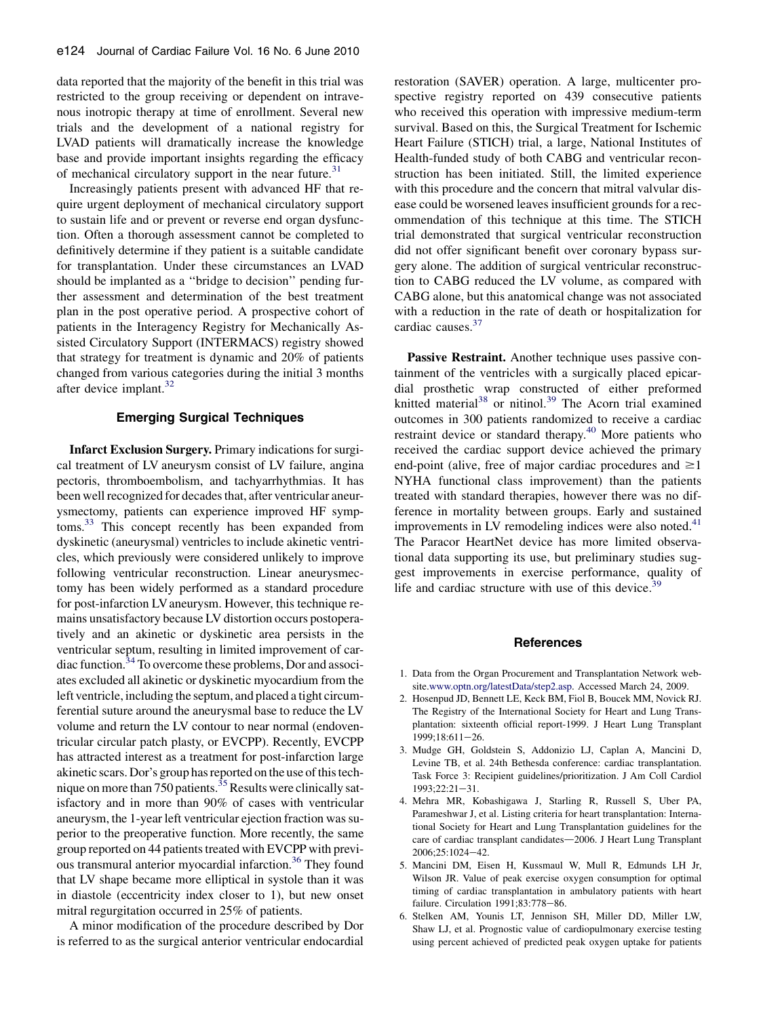<span id="page-2-0"></span>data reported that the majority of the benefit in this trial was restricted to the group receiving or dependent on intravenous inotropic therapy at time of enrollment. Several new trials and the development of a national registry for LVAD patients will dramatically increase the knowledge base and provide important insights regarding the efficacy of mechanical circulatory support in the near future.<sup>[31](#page-3-0)</sup>

Increasingly patients present with advanced HF that require urgent deployment of mechanical circulatory support to sustain life and or prevent or reverse end organ dysfunction. Often a thorough assessment cannot be completed to definitively determine if they patient is a suitable candidate for transplantation. Under these circumstances an LVAD should be implanted as a ''bridge to decision'' pending further assessment and determination of the best treatment plan in the post operative period. A prospective cohort of patients in the Interagency Registry for Mechanically Assisted Circulatory Support (INTERMACS) registry showed that strategy for treatment is dynamic and 20% of patients changed from various categories during the initial 3 months after device implant.<sup>32</sup>

### Emerging Surgical Techniques

Infarct Exclusion Surgery. Primary indications for surgical treatment of LV aneurysm consist of LV failure, angina pectoris, thromboembolism, and tachyarrhythmias. It has been well recognized for decades that, after ventricular aneurysmectomy, patients can experience improved HF symptoms.[33](#page-3-0) This concept recently has been expanded from dyskinetic (aneurysmal) ventricles to include akinetic ventricles, which previously were considered unlikely to improve following ventricular reconstruction. Linear aneurysmectomy has been widely performed as a standard procedure for post-infarction LV aneurysm. However, this technique remains unsatisfactory because LV distortion occurs postoperatively and an akinetic or dyskinetic area persists in the ventricular septum, resulting in limited improvement of car-diac function.<sup>[34](#page-3-0)</sup> To overcome these problems, Dor and associates excluded all akinetic or dyskinetic myocardium from the left ventricle, including the septum, and placed a tight circumferential suture around the aneurysmal base to reduce the LV volume and return the LV contour to near normal (endoventricular circular patch plasty, or EVCPP). Recently, EVCPP has attracted interest as a treatment for post-infarction large akinetic scars. Dor's group has reported on the use of this tech-nique on more than 750 patients.<sup>[35](#page-3-0)</sup> Results were clinically satisfactory and in more than 90% of cases with ventricular aneurysm, the 1-year left ventricular ejection fraction was superior to the preoperative function. More recently, the same group reported on 44 patients treated with EVCPP with previous transmural anterior myocardial infarction.<sup>36</sup> They found that LV shape became more elliptical in systole than it was in diastole (eccentricity index closer to 1), but new onset mitral regurgitation occurred in 25% of patients.

A minor modification of the procedure described by Dor is referred to as the surgical anterior ventricular endocardial

restoration (SAVER) operation. A large, multicenter prospective registry reported on 439 consecutive patients who received this operation with impressive medium-term survival. Based on this, the Surgical Treatment for Ischemic Heart Failure (STICH) trial, a large, National Institutes of Health-funded study of both CABG and ventricular reconstruction has been initiated. Still, the limited experience with this procedure and the concern that mitral valvular disease could be worsened leaves insufficient grounds for a recommendation of this technique at this time. The STICH trial demonstrated that surgical ventricular reconstruction did not offer significant benefit over coronary bypass surgery alone. The addition of surgical ventricular reconstruction to CABG reduced the LV volume, as compared with CABG alone, but this anatomical change was not associated with a reduction in the rate of death or hospitalization for cardiac causes.<sup>37</sup>

Passive Restraint. Another technique uses passive containment of the ventricles with a surgically placed epicardial prosthetic wrap constructed of either preformed knitted material<sup>[38](#page-3-0)</sup> or nitinol.<sup>[39](#page-3-0)</sup> The Acorn trial examined outcomes in 300 patients randomized to receive a cardiac restraint device or standard therapy.<sup>[40](#page-3-0)</sup> More patients who received the cardiac support device achieved the primary end-point (alive, free of major cardiac procedures and  $\geq$ 1 NYHA functional class improvement) than the patients treated with standard therapies, however there was no difference in mortality between groups. Early and sustained improvements in LV remodeling indices were also noted. $41$ The Paracor HeartNet device has more limited observational data supporting its use, but preliminary studies suggest improvements in exercise performance, quality of life and cardiac structure with use of this device. $39$ 

#### References

- 1. Data from the Organ Procurement and Transplantation Network website[.www.optn.org/latestData/step2.asp](http://www.optn.org/latestData/step2.asp). Accessed March 24, 2009.
- 2. Hosenpud JD, Bennett LE, Keck BM, Fiol B, Boucek MM, Novick RJ. The Registry of the International Society for Heart and Lung Transplantation: sixteenth official report-1999. J Heart Lung Transplant 1999;18:611-26.
- 3. Mudge GH, Goldstein S, Addonizio LJ, Caplan A, Mancini D, Levine TB, et al. 24th Bethesda conference: cardiac transplantation. Task Force 3: Recipient guidelines/prioritization. J Am Coll Cardiol  $1993:22:21-31.$
- 4. Mehra MR, Kobashigawa J, Starling R, Russell S, Uber PA, Parameshwar J, et al. Listing criteria for heart transplantation: International Society for Heart and Lung Transplantation guidelines for the care of cardiac transplant candidates-2006. J Heart Lung Transplant 2006;25:1024-42.
- 5. Mancini DM, Eisen H, Kussmaul W, Mull R, Edmunds LH Jr, Wilson JR. Value of peak exercise oxygen consumption for optimal timing of cardiac transplantation in ambulatory patients with heart failure. Circulation 1991;83:778-86.
- 6. Stelken AM, Younis LT, Jennison SH, Miller DD, Miller LW, Shaw LJ, et al. Prognostic value of cardiopulmonary exercise testing using percent achieved of predicted peak oxygen uptake for patients